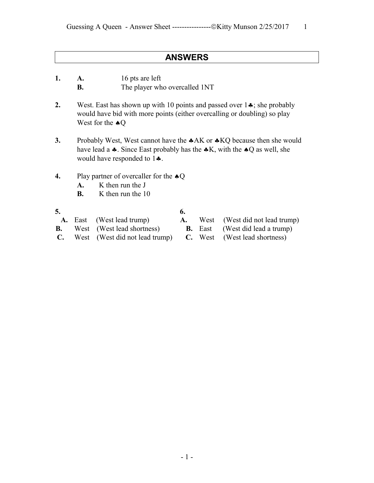## **ANSWERS**

- **1. A.** 16 pts are left
	- **B.** The player who overcalled 1NT
- **2.** West. East has shown up with 10 points and passed over  $1 \cdot \cdot$ ; she probably would have bid with more points (either overcalling or doubling) so play West for the  $\triangle Q$
- **3.** Probably West, West cannot have the  $A K$  or  $A K Q$  because then she would have lead a  $\clubsuit$ . Since East probably has the  $\clubsuit K$ , with the  $\spadesuit Q$  as well, she would have responded to  $1\clubsuit$ .
- **4.** Play partner of overcaller for the  $\triangle Q$ 
	- **A.** K then run the J
	- **B.** K then run the 10
- 
- **5. 6. A.** East (West lead trump) **A.** West (West did not lead trump) **B.** West (West lead shortness) **B.** East (West did lead a trump)
- 
- -
- **C.** West (West did not lead trump) **C.** West (West lead shortness)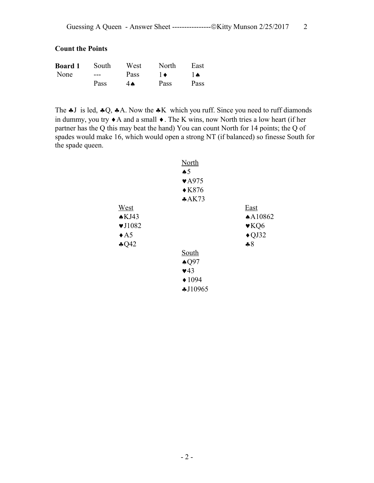## **Count the Points**

| <b>Board 1</b> | South | West | North | East      |
|----------------|-------|------|-------|-----------|
| None           | $---$ | Pass | 1 ♦   | $\lambda$ |
|                | Pass  | 4Ѧ   | Pass  | Pass      |

The  $\clubsuit$ J is led,  $\clubsuit$ Q,  $\clubsuit$ A. Now the  $\clubsuit$ K which you ruff. Since you need to ruff diamonds in dummy, you try  $\triangle$  A and a small  $\triangle$ . The K wins, now North tries a low heart (if her partner has the Q this may beat the hand) You can count North for 14 points; the Q of spades would make 16, which would open a strong NT (if balanced) so finesse South for the spade queen.

|                            | <b>North</b>              |                          |
|----------------------------|---------------------------|--------------------------|
|                            | $\clubsuit 5$             |                          |
|                            | $\blacktriangledown$ A975 |                          |
|                            | $\triangle$ K876          |                          |
|                            | A K73                     |                          |
| West                       |                           | <b>East</b>              |
| AKJ43                      |                           | A10862                   |
| $\blacktriangledown$ J1082 |                           | $\blacktriangledown$ KQ6 |
| $\triangle$ A5             |                           | $\triangle$ QJ32         |
| $\clubsuit$ Q42            |                           | $-8$                     |
|                            | South                     |                          |
|                            | $\triangle$ Q97           |                          |
|                            | $\blacktriangledown$ 43   |                          |
|                            | $\triangle 1094$          |                          |
|                            | \$J10965                  |                          |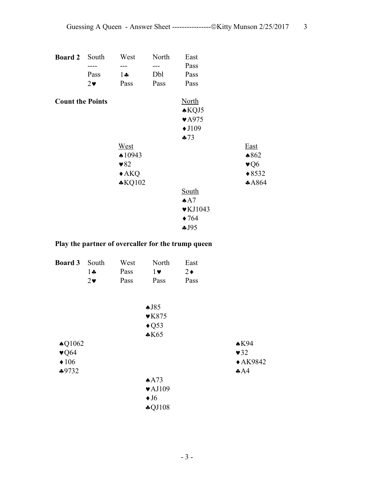| <b>Board 2</b>          | South      | West                    | North | East                        |                         |
|-------------------------|------------|-------------------------|-------|-----------------------------|-------------------------|
|                         |            |                         | ---   | Pass                        |                         |
|                         | Pass       | $1 -$                   | Dbl   | Pass                        |                         |
|                         | $2\bullet$ | Pass                    | Pass  | Pass                        |                         |
| <b>Count the Points</b> |            |                         |       | <b>North</b>                |                         |
|                         |            |                         |       | $\triangle KQJ5$            |                         |
|                         |            |                         |       | $\blacktriangledown$ A975   |                         |
|                         |            |                         |       | $\blacklozenge$ J109        |                         |
|                         |            |                         |       | $-73$                       |                         |
|                         |            | West                    |       |                             | <b>East</b>             |
|                         |            | $\triangle$ 10943       |       |                             | $*862$                  |
|                         |            | $\blacktriangledown 82$ |       |                             | $\blacktriangledown 06$ |
|                         |            | $\triangle$ AKQ         |       |                             | $*8532$                 |
|                         |            | $*KQ102$                |       |                             | A864                    |
|                         |            |                         |       | South                       |                         |
|                         |            |                         |       | $A^A$                       |                         |
|                         |            |                         |       | $\blacktriangledown$ KJ1043 |                         |
|                         |            |                         |       | $\blacklozenge$ 764         |                         |
|                         |            |                         |       | 4J95                        |                         |

## **Play the partner of overcaller for the trump queen**

| <b>Board 3</b>           | South       | West | North                      | East       |                      |
|--------------------------|-------------|------|----------------------------|------------|----------------------|
|                          | $1 \bullet$ | Pass | $1 \vee$                   | $2\bullet$ |                      |
|                          | $2\bullet$  | Pass | Pass                       | Pass       |                      |
|                          |             |      | $\triangle$ J85            |            |                      |
|                          |             |      | $\blacktriangledown$ K875  |            |                      |
|                          |             |      | $\triangle$ Q53            |            |                      |
|                          |             |      | $*K65$                     |            |                      |
| $\triangle$ Q1062        |             |      |                            |            | $\triangle$ K94      |
| $\blacktriangledown$ Q64 |             |      |                            |            | $\blacktriangledown$ |
| $\triangleleft 106$      |             |      |                            |            | $\triangle$ AK9842   |
| $*9732$                  |             |      |                            |            | AA                   |
|                          |             |      | AA73                       |            |                      |
|                          |             |      | $\blacktriangledown$ AJ109 |            |                      |
|                          |             |      | $\blacklozenge$ J6         |            |                      |
|                          |             |      | $\clubsuit$ QJ108          |            |                      |
|                          |             |      |                            |            |                      |